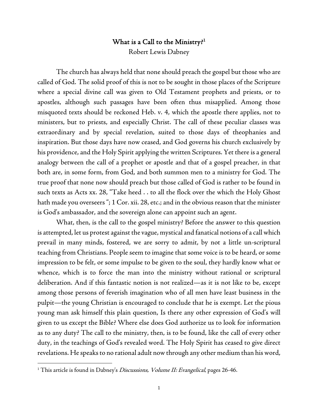## What is a Call to the Ministry? $^{1}$

Robert Lewis Dabney

The church has always held that none should preach the gospel but those who are called of God. The solid proof of this is not to be sought in those places of the Scripture where a special divine call was given to Old Testament prophets and priests, or to apostles, although such passages have been often thus misapplied. Among those misquoted texts should be reckoned Heb. v. 4, which the apostle there applies, not to ministers, but to priests, and especially Christ. The call of these peculiar classes was extraordinary and by special revelation, suited to those days of theophanies and inspiration. But those days have now ceased, and God governs his church exclusively by his providence, and the Holy Spirit applying the written Scriptures. Yet there is a general analogy between the call of a prophet or apostle and that of a gospel preacher, in that both are, in some form, from God, and both summon men to a ministry for God. The true proof that none now should preach but those called of God is rather to be found in such texts as Acts xx. 28, "Take heed . . to all the flock over the which the Holy Ghost hath made you overseers "; 1 Cor. xii. 28, etc.; and in the obvious reason that the minister is God's ambassador, and the sovereign alone can appoint such an agent.

What, then, is the call to the gospel ministry? Before the answer to this question is attempted, let us protest against the vague, mystical and fanatical notions of a call which prevail in many minds, fostered, we are sorry to admit, by not a little un-scriptural teaching from Christians. People seem to imagine that some voice is to be heard, or some impression to be felt, or some impulse to be given to the soul, they hardly know what or whence, which is to force the man into the ministry without rational or scriptural deliberation. And if this fantastic notion is not realized—as it is not like to be, except among those persons of feverish imagination who of all men have least business in the pulpit—the young Christian is encouraged to conclude that he is exempt. Let the pious young man ask himself this plain question, Is there any other expression of God's will given to us except the Bible? Where else does God authorize us to look for information as to any duty? The call to the ministry, then, is to be found, like the call of every other duty, in the teachings of God's revealed word. The Holy Spirit has ceased to give direct revelations. He speaks to no rational adult now through any other medium than his word,

<sup>&</sup>lt;sup>1</sup> This article is found in Dabney's *Discussions, Volume II: Evangelical*, pages 26-46.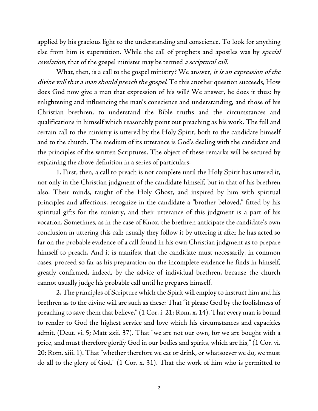applied by his gracious light to the understanding and conscience. To look for anything else from him is superstition. While the call of prophets and apostles was by special revelation, that of the gospel minister may be termed a scriptural call.

What, then, is a call to the gospel ministry? We answer, it is an expression of the divine will that a man should preach the gospel. To this another question succeeds, How does God now give a man that expression of his will? We answer, he does it thus: by enlightening and influencing the man's conscience and understanding, and those of his Christian brethren, to understand the Bible truths and the circumstances and qualifications in himself which reasonably point out preaching as his work. The full and certain call to the ministry is uttered by the Holy Spirit, both to the candidate himself and to the church. The medium of its utterance is God's dealing with the candidate and the principles of the written Scriptures. The object of these remarks will be secured by explaining the above definition in a series of particulars.

1. First, then, a call to preach is not complete until the Holy Spirit has uttered it, not only in the Christian judgment of the candidate himself, but in that of his brethren also. Their minds, taught of the Holy Ghost, and inspired by him with spiritual principles and affections, recognize in the candidate a "brother beloved," fitted by his spiritual gifts for the ministry, and their utterance of this judgment is a part of his vocation. Sometimes, as in the case of Knox, the brethren anticipate the candidate's own conclusion in uttering this call; usually they follow it by uttering it after he has acted so far on the probable evidence of a call found in his own Christian judgment as to prepare himself to preach. And it is manifest that the candidate must necessarily, in common cases, proceed so far as his preparation on the incomplete evidence he finds in himself, greatly confirmed, indeed, by the advice of individual brethren, because the church cannot usually judge his probable call until he prepares himself.

2. The principles of Scripture which the Spirit will employ to instruct him and his brethren as to the divine will are such as these: That "it please God by the foolishness of preaching to save them that believe," (1 Cor. i. 21; Rom. x. 14). That every man is bound to render to God the highest service and love which his circumstances and capacities admit, (Deut. vi. 5; Matt xxii. 37). That "we are not our own, for we are bought with a price, and must therefore glorify God in our bodies and spirits, which are his," (1 Cor. vi. 20; Rom. xiii. 1). That "whether therefore we eat or drink, or whatsoever we do, we must do all to the glory of God," (1 Cor. x. 31). That the work of him who is permitted to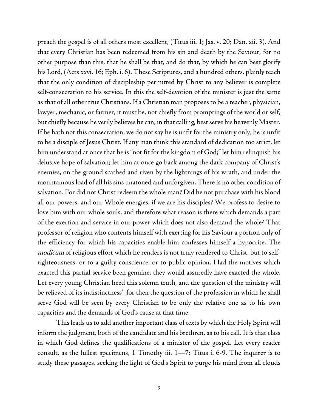preach the gospel is of all others most excellent, (Titus iii. 1; Jas. v. 20; Dan. xii. 3). And that every Christian has been redeemed from his sin and death by the Saviour, for no other purpose than this, that he shall be that, and do that, by which he can best glorify his Lord, (Acts xxvi. 16; Eph. i. 6). These Scriptures, and a hundred others, plainly teach that the only condition of discipleship permitted by Christ to any believer is complete self-consecration to his service. In this the self-devotion of the minister is just the same as that of all other true Christians. If a Christian man proposes to be a teacher, physician, lawyer, mechanic, or farmer, it must be, not chiefly from promptings of the world or self, but chiefly because he verily believes he can, in that calling, best serve his heavenly Master. If he hath not this consecration, we do not say he is unfit for the ministry only, he is unfit to be a disciple of Jesus Christ. If any man think this standard of dedication too strict, let him understand at once that he is "not fit for the kingdom of God;" let him relinquish his delusive hope of salvation; let him at once go back among the dark company of Christ's enemies, on the ground scathed and riven by the lightnings of his wrath, and under the mountainous load of all his sins unatoned and unforgiven. There is no other condition of salvation. For did not Christ redeem the whole man? Did he not purchase with his blood all our powers, and our Whole energies, if we are his disciples? We profess to desire to love him with our whole souls, and therefore what reason is there which demands a part of the exertion and service in our power which does not also demand the whole? That professor of religion who contents himself with exerting for his Saviour a portion only of the efficiency for which his capacities enable him confesses himself a hypocrite. The modicum of religious effort which he renders is not truly rendered to Christ, but to selfrighteousness, or to a guilty conscience, or to public opinion. Had the motives which exacted this partial service been genuine, they would assuredly have exacted the whole. Let every young Christian heed this solemn truth, and the question of the ministry will be relieved of its indistinctness'; for then the question of the profession in which he shall serve God will be seen by every Christian to be only the relative one as to his own capacities and the demands of God's cause at that time.

This leads us to add another important class of texts by which the Holy Spirit will inform the judgment, both of the candidate and his brethren, as to his call. It is that class in which God defines the qualifications of a minister of the gospel. Let every reader consult, as the fullest specimens, 1 Timothy iii. 1—7; Titus i. 6-9. The inquirer is to study these passages, seeking the light of God's Spirit to purge his mind from all clouds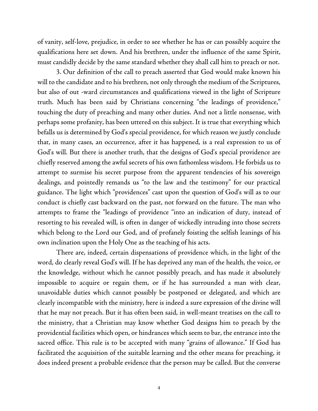of vanity, self-love, prejudice, in order to see whether he has or can possibly acquire the qualifications here set down. And his brethren, under the influence of the same Spirit, must candidly decide by the same standard whether they shall call him to preach or not.

3. Our definition of the call to preach asserted that God would make known his will to the candidate and to his brethren, not only through the medium of the Scriptures, but also of out -ward circumstances and qualifications viewed in the light of Scripture truth. Much has been said by Christians concerning "the leadings of providence," touching the duty of preaching and many other duties. And not a little nonsense, with perhaps some profanity, has been uttered on this subject. It is true that everything which befalls us is determined by God's special providence, for which reason we justly conclude that, in many cases, an occurrence, after it has happened, is a real expression to us of God's will. But there is another truth, that the designs of God's special providence are chiefly reserved among the awful secrets of his own fathomless wisdom. He forbids us to attempt to surmise his secret purpose from the apparent tendencies of his sovereign dealings, and pointedly remands us "to the law and the testimony" for our practical guidance. The light which "providences" cast upon the question of God's will as to our conduct is chiefly cast backward on the past, not forward on the future. The man who attempts to frame the "leadings of providence "into an indication of duty, instead of resorting to his revealed will, is often in danger of wickedly intruding into those secrets which belong to the Lord our God, and of profanely foisting the selfish leanings of his own inclination upon the Holy One as the teaching of his acts.

There are, indeed, certain dispensations of providence which, in the light of the word, do clearly reveal God's will. If he has deprived any man of the health, the voice, or the knowledge, without which he cannot possibly preach, and has made it absolutely impossible to acquire or regain them, or if he has surrounded a man with clear, unavoidable duties which cannot possibly be postponed or delegated, and which are clearly incompatible with the ministry, here is indeed a sure expression of the divine will that he may not preach. But it has often been said, in well-meant treatises on the call to the ministry, that a Christian may know whether God designs him to preach by the providential facilities which open, or hindrances which seem to bar, the entrance into the sacred office. This rule is to be accepted with many "grains of allowance." If God has facilitated the acquisition of the suitable learning and the other means for preaching, it does indeed present a probable evidence that the person may be called. But the converse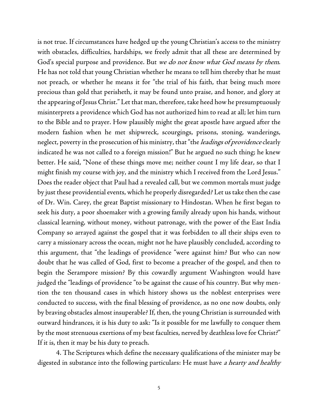is not true. If circumstances have hedged up the young Christian's access to the ministry with obstacles, difficulties, hardships, we freely admit that all these are determined by God's special purpose and providence. But we do not know what God means by them. He has not told that young Christian whether he means to tell him thereby that he must not preach, or whether he means it for "the trial of his faith, that being much more precious than gold that perisheth, it may be found unto praise, and honor, and glory at the appearing of Jesus Christ." Let that man, therefore, take heed how he presumptuously misinterprets a providence which God has not authorized him to read at all; let him turn to the Bible and to prayer. How plausibly might the great apostle have argued after the modern fashion when he met shipwreck, scourgings, prisons, stoning, wanderings, neglect, poverty in the prosecution of his ministry, that "the leadings of providence clearly indicated he was not called to a foreign mission!" But he argued no such thing; he knew better. He said, "None of these things move me; neither count I my life dear, so that I might finish my course with joy, and the ministry which I received from the Lord Jesus." Does the reader object that Paul had a revealed call, but we common mortals must judge by just these providential events, which he properly disregarded? Let us take then the case of Dr. Win. Carey, the great Baptist missionary to Hindostan. When he first began to seek his duty, a poor shoemaker with a growing family already upon his hands, without classical learning, without money, without patronage, with the power of the East India Company so arrayed against the gospel that it was forbidden to all their ships even to carry a missionary across the ocean, might not he have plausibly concluded, according to this argument, that "the leadings of providence "were against him? But who can now doubt that he was called of God, first to become a preacher of the gospel, and then to begin the Serampore mission? By this cowardly argument Washington would have judged the "leadings of providence "to be against the cause of his country. But why mention the ten thousand cases in which history shows us the noblest enterprises were conducted to success, with the final blessing of providence, as no one now doubts, only by braving obstacles almost insuperable? If, then, the young Christian is surrounded with outward hindrances, it is his duty to ask: "Is it possible for me lawfully to conquer them by the most strenuous exertions of my best faculties, nerved by deathless love for Christ?" If it is, then it may be his duty to preach.

4. The Scriptures which define the necessary qualifications of the minister may be digested in substance into the following particulars: He must have a hearty and healthy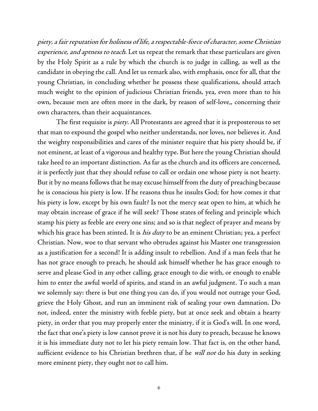piety, a fair reputation for holiness of life, a respectable-force of character, some Christian experience, and aptness to teach. Let us repeat the remark that these particulars are given by the Holy Spirit as a rule by which the church is to judge in calling, as well as the candidate in obeying the call. And let us remark also, with emphasis, once for all, that the young Christian, in concluding whether he possess these qualifications, should attach much weight to the opinion of judicious Christian friends, yea, even more than to his own, because men are often more in the dark, by reason of self-love,, concerning their own characters, than their acquaintances.

The first requisite is *piety*. All Protestants are agreed that it is preposterous to set that man to expound the gospel who neither understands, nor loves, nor believes it. And the weighty responsibilities and cares of the minister require that his piety should be, if not eminent, at least of a vigorous and healthy type. But here the young Christian should take heed to an important distinction. As far as the church and its officers are concerned, it is perfectly just that they should refuse to call or ordain one whose piety is not hearty. But it by no means follows that he may excuse himself from the duty of preaching because he is conscious his piety is low. If he reasons thus he insults God; for how comes it that his piety is low, except by his own fault? Is not the mercy seat open to him, at which he may obtain increase of grace if he will seek? Those states of feeling and principle which stamp his piety as feeble are every one sins; and so is that neglect of prayer and means by which his grace has been stinted. It is *his duty* to be an eminent Christian; yea, a perfect Christian. Now, woe to that servant who obtrudes against his Master one transgression as a justification for a second! It is adding insult to rebellion. And if a man feels that he has not grace enough to preach, he should ask himself whether he has grace enough to serve and please God in any other calling, grace enough to die with, or enough to enable him to enter the awful world of spirits, and stand in an awful judgment. To such a man we solemnly say: there is but one thing you can do, if you would not outrage your God, grieve the Holy Ghost, and run an imminent risk of sealing your own damnation. Do not, indeed, enter the ministry with feeble piety, but at once seek and obtain a hearty piety, in order that you may properly enter the ministry, if it is God's will. In one word, the fact that one's piety is low cannot prove it is not his duty to preach, because he knows it is his immediate duty not to let his piety remain low. That fact is, on the other hand, sufficient evidence to his Christian brethren that, if he will not do his duty in seeking more eminent piety, they ought not to call him.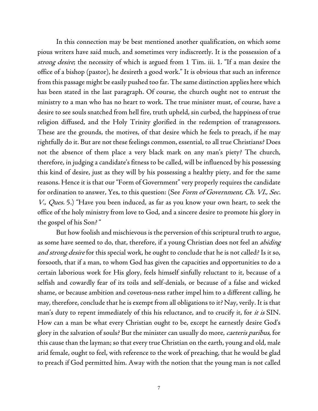In this connection may be best mentioned another qualification, on which some pious writers have said much, and sometimes very indiscreetly. It is the possession of a strong desire; the necessity of which is argued from 1 Tim. iii. 1. "If a man desire the office of a bishop (pastor), he desireth a good work." It is obvious that such an inference from this passage might be easily pushed too far. The same distinction applies here which has been stated in the last paragraph. Of course, the church ought not to entrust the ministry to a man who has no heart to work. The true minister must, of course, have a desire to see souls snatched from hell fire, truth upheld, sin curbed, the happiness of true religion diffused, and the Holy Trinity glorified in the redemption of transgressors. These are the grounds, the motives, of that desire which he feels to preach, if he may rightfully do it. But are not these feelings common, essential, to all true Christians? Does not the absence of them place a very black mark on any man's piety? The church, therefore, in judging a candidate's fitness to be called, will be influenced by his possessing this kind of desire, just as they will by his possessing a healthy piety, and for the same reasons. Hence it is that our "Form of Government" very properly requires the candidate for ordination to answer, Yes, to this question: (See Form of Government, Ch. VI., Sec. V., Ques. 5.) "Have you been induced, as far as you know your own heart, to seek the office of the holy ministry from love to God, and a sincere desire to promote his glory in the gospel of his Son? "

But how foolish and mischievous is the perversion of this scriptural truth to argue, as some have seemed to do, that, therefore, if a young Christian does not feel an *abiding* and strong desire for this special work, he ought to conclude that he is not called? Is it so, forsooth, that if a man, to whom God has given the capacities and opportunities to do a certain laborious work for His glory, feels himself sinfully reluctant to it, because of a selfish and cowardly fear of its toils and self-denials, or because of a false and wicked shame, or because ambition and covetous-ness rather impel him to a different calling, he may, therefore, conclude that he is exempt from all obligations to it? Nay, verily. It is that man's duty to repent immediately of this his reluctance, and to crucify it, for it is SIN. How can a man be what every Christian ought to be, except he earnestly desire God's glory in the salvation of souls? But the minister can usually do more, caeteris paribus, for this cause than the layman; so that every true Christian on the earth, young and old, male arid female, ought to feel, with reference to the work of preaching, that he would be glad to preach if God permitted him. Away with the notion that the young man is not called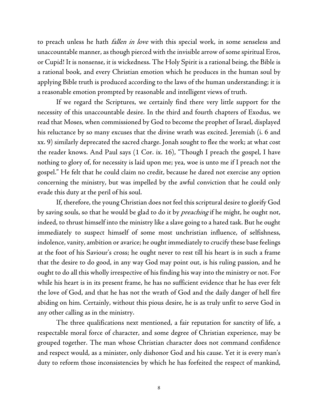to preach unless he hath fallen in love with this special work, in some senseless and unaccountable manner, as though pierced with the invisible arrow of some spiritual Eros, or Cupid! It is nonsense, it is wickedness. The Holy Spirit is a rational being, the Bible is a rational book, and every Christian emotion which he produces in the human soul by applying Bible truth is produced according to the laws of the human understanding; it is a reasonable emotion prompted by reasonable and intelligent views of truth.

If we regard the Scriptures, we certainly find there very little support for the necessity of this unaccountable desire. In the third and fourth chapters of Exodus, we read that Moses, when commissioned by God to become the prophet of Israel, displayed his reluctance by so many excuses that the divine wrath was excited. Jeremiah (i. 6 and xx. 9) similarly deprecated the sacred charge. Jonah sought to flee the work; at what cost the reader knows. And Paul says (1 Cor. ix. 16), "Though I preach the gospel, I have nothing to glory of, for necessity is laid upon me; yea, woe is unto me if I preach not the gospel." He felt that he could claim no credit, because he dared not exercise any option concerning the ministry, but was impelled by the awful conviction that he could only evade this duty at the peril of his soul.

If, therefore, the young Christian does not feel this scriptural desire to glorify God by saving souls, so that he would be glad to do it by *preaching* if he might, he ought not, indeed, to thrust himself into the ministry like a slave going to a hated task. But he ought immediately to suspect himself of some most unchristian influence, of selfishness, indolence, vanity, ambition or avarice; he ought immediately to crucify these base feelings at the foot of his Saviour's cross; he ought never to rest till his heart is in such a frame that the desire to do good, in any way God may point out, is his ruling passion, and he ought to do all this wholly irrespective of his finding his way into the ministry or not. For while his heart is in its present frame, he has no sufficient evidence that he has ever felt the love of God, and that he has not the wrath of God and the daily danger of hell fire abiding on him. Certainly, without this pious desire, he is as truly unfit to serve God in any other calling as in the ministry.

The three qualifications next mentioned, a fair reputation for sanctity of life, a respectable moral force of character, and some degree of Christian experience, may be grouped together. The man whose Christian character does not command confidence and respect would, as a minister, only dishonor God and his cause. Yet it is every man's duty to reform those inconsistencies by which he has forfeited the respect of mankind,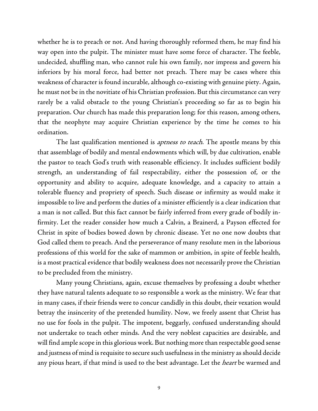whether he is to preach or not. And having thoroughly reformed them, he may find his way open into the pulpit. The minister must have some force of character. The feeble, undecided, shuffling man, who cannot rule his own family, nor impress and govern his inferiors by his moral force, had better not preach. There may be cases where this weakness of character is found incurable, although co-existing with genuine piety. Again, he must not be in the novitiate of his Christian profession. But this circumstance can very rarely be a valid obstacle to the young Christian's proceeding so far as to begin his preparation. Our church has made this preparation long; for this reason, among others, that the neophyte may acquire Christian experience by the time he comes to his ordination.

The last qualification mentioned is *aptness to teach*. The apostle means by this that assemblage of bodily and mental endowments which will, by due cultivation, enable the pastor to teach God's truth with reasonable efficiency. It includes sufficient bodily strength, an understanding of fail respectability, either the possession of, or the opportunity and ability to acquire, adequate knowledge, and a capacity to attain a tolerable fluency and propriety of speech. Such disease or infirmity as would make it impossible to live and perform the duties of a minister efficiently is a clear indication that a man is not called. But this fact cannot be fairly inferred from every grade of bodily infirmity. Let the reader consider how much a Calvin, a Brainerd, a Payson effected for Christ in spite of bodies bowed down by chronic disease. Yet no one now doubts that God called them to preach. And the perseverance of many resolute men in the laborious professions of this world for the sake of mammon or ambition, in spite of feeble health, is a most practical evidence that bodily weakness does not necessarily prove the Christian to be precluded from the ministry.

Many young Christians, again, excuse themselves by professing a doubt whether they have natural talents adequate to so responsible a work as the ministry. We fear that in many cases, if their friends were to concur candidly in this doubt, their vexation would betray the insincerity of the pretended humility. Now, we freely assent that Christ has no use for fools in the pulpit. The impotent, beggarly, confused understanding should not undertake to teach other minds. And the very noblest capacities are desirable, and will find ample scope in this glorious work. But nothing more than respectable good sense and justness of mind is requisite to secure such usefulness in the ministry as should decide any pious heart, if that mind is used to the best advantage. Let the *heart* be warmed and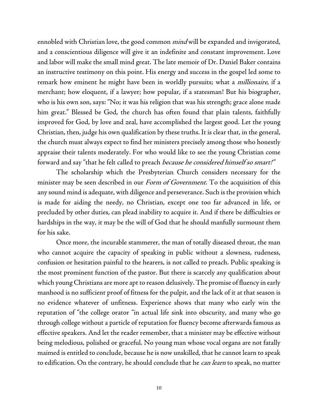ennobled with Christian love, the good common *mind* will be expanded and invigorated, and a conscientious diligence will give it an indefinite and constant improvement. Love and labor will make the small mind great. The late memoir of Dr. Daniel Baker contains an instructive testimony on this point. His energy and success in the gospel led some to remark how eminent he might have been in worldly pursuits; what a *millionaire*, if a merchant; how eloquent, if a lawyer; how popular, if a statesman! But his biographer, who is his own son, says: "No; it was his religion that was his strength; grace alone made him great." Blessed be God, the church has often found that plain talents, faithfully improved for God, by love and zeal, have accomplished the largest good. Let the young Christian, then, judge his own qualification by these truths. It is clear that, in the general, the church must always expect to find her ministers precisely among those who honestly appraise their talents moderately. For who would like to see the young Christian come forward and say "that he felt called to preach *because he considered himself so smart!"* 

The scholarship which the Presbyterian Church considers necessary for the minister may be seen described in our *Form of Government*. To the acquisition of this any sound mind is adequate, with diligence and perseverance. Such is the provision which is made for aiding the needy, no Christian, except one too far advanced in life, or precluded by other duties, can plead inability to acquire it. And if there be difficulties or hardships in the way, it may be the will of God that he should manfully surmount them for his sake.

Once more, the incurable stammerer, the man of totally diseased throat, the man who cannot acquire the capacity of speaking in public without a slowness, rudeness, confusion or hesitation painful to the hearers, is not called to preach. Public speaking is the most prominent function of the pastor. But there is scarcely any qualification about which young Christians are more apt to reason delusively. The promise of fluency in early manhood is no sufficient proof of fitness for the pulpit, and the lack of it at that season is no evidence whatever of unfitness. Experience shows that many who early win the reputation of "the college orator "in actual life sink into obscurity, and many who go through college without a particle of reputation for fluency become afterwards famous as effective speakers. And let the reader remember, that a minister may be effective without being melodious, polished or graceful. No young man whose vocal organs are not fatally maimed is entitled to conclude, because he is now unskilled, that he cannot learn to speak to edification. On the contrary, he should conclude that he *can learn* to speak, no matter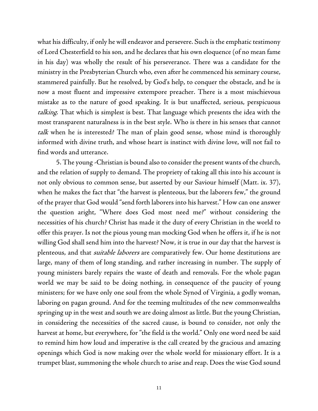what his difficulty, if only he will endeavor and persevere. Such is the emphatic testimony of Lord Chesterfield to his son, and he declares that his own eloquence (of no mean fame in his day) was wholly the result of his perseverance. There was a candidate for the ministry in the Presbyterian Church who, even after he commenced his seminary course, stammered painfully. But he resolved, by God's help, to conquer the obstacle, and he is now a most fluent and impressive extempore preacher. There is a most mischievous mistake as to the nature of good speaking. It is but unaffected, serious, perspicuous talking. That which is simplest is best. That language which presents the idea with the most transparent naturalness is in the best style. Who is there in his senses that cannot talk when he is interested? The man of plain good sense, whose mind is thoroughly informed with divine truth, and whose heart is instinct with divine love, will not fail to find words and utterance.

5. The young -Christian is bound also to consider the present wants of the church, and the relation of supply to demand. The propriety of taking all this into his account is not only obvious to common sense, but asserted by our Saviour himself (Matt. ix. 37), when he makes the fact that "the harvest is plenteous, but the laborers few," the ground of the prayer that God would "send forth laborers into his harvest." How can one answer the question aright, "Where does God most need me?" without considering the necessities of his church? Christ has made it the duty of every Christian in the world to offer this prayer. Is not the pious young man mocking God when he offers it, if he is not willing God shall send him into the harvest? Now, it is true in our day that the harvest is plenteous, and that *suitable laborers* are comparatively few. Our home destitutions are large, many of them of long standing, and rather increasing in number. The supply of young ministers barely repairs the waste of death and removals. For the whole pagan world we may be said to be doing nothing, in consequence of the paucity of young ministers; for we have only one soul from the whole Synod of Virginia, a godly woman, laboring on pagan ground. And for the teeming multitudes of the new commonwealths springing up in the west and south we are doing almost as little. But the young Christian, in considering the necessities of the sacred cause, is bound to consider, not only the harvest at home, but everywhere, for "the field is the world." Only one word need be said to remind him how loud and imperative is the call created by the gracious and amazing openings which God is now making over the whole world for missionary effort. It is a trumpet blast, summoning the whole church to arise and reap. Does the wise God sound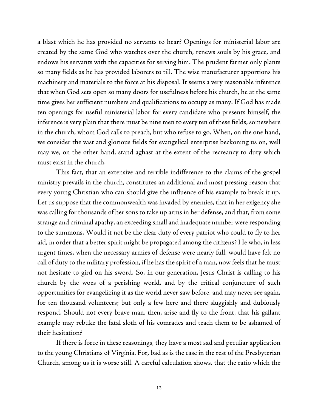a blast which he has provided no servants to hear? Openings for ministerial labor are created by the same God who watches over the church, renews souls by his grace, and endows his servants with the capacities for serving him. The prudent farmer only plants so many fields as he has provided laborers to till. The wise manufacturer apportions his machinery and materials to the force at his disposal. It seems a very reasonable inference that when God sets open so many doors for usefulness before his church, he at the same time gives her sufficient numbers and qualifications to occupy as many. If God has made ten openings for useful ministerial labor for every candidate who presents himself, the inference is very plain that there must be nine men to every ten of these fields, somewhere in the church, whom God calls to preach, but who refuse to go. When, on the one hand, we consider the vast and glorious fields for evangelical enterprise beckoning us on, well may we, on the other hand, stand aghast at the extent of the recreancy to duty which must exist in the church.

This fact, that an extensive and terrible indifference to the claims of the gospel ministry prevails in the church, constitutes an additional and most pressing reason that every young Christian who can should give the influence of his example to break it up. Let us suppose that the commonwealth was invaded by enemies, that in her exigency she was calling for thousands of her sons to take up arms in her defense, and that, from some strange and criminal apathy, an exceeding small and inadequate number were responding to the summons. Would it not be the clear duty of every patriot who could to fly to her aid, in order that a better spirit might be propagated among the citizens? He who, in less urgent times, when the necessary armies of defense were nearly full, would have felt no call of duty to the military profession, if he has the spirit of a man, now feels that he must not hesitate to gird on his sword. So, in our generation, Jesus Christ is calling to his church by the woes of a perishing world, and by the critical conjuncture of such opportunities for evangelizing it as the world never saw before, and may never see again, for ten thousand volunteers; but only a few here and there sluggishly and dubiously respond. Should not every brave man, then, arise and fly to the front, that his gallant example may rebuke the fatal sloth of his comrades and teach them to be ashamed of their hesitation?

If there is force in these reasonings, they have a most sad and peculiar application to the young Christians of Virginia. For, bad as is the case in the rest of the Presbyterian Church, among us it is worse still. A careful calculation shows, that the ratio which the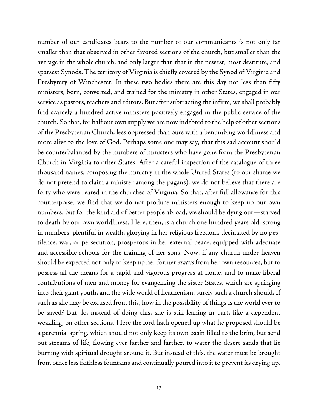number of our candidates bears to the number of our communicants is not only far smaller than that observed in other favored sections of the church, but smaller than the average in the whole church, and only larger than that in the newest, most destitute, and sparsest Synods. The territory of Virginia is chiefly covered by the Synod of Virginia and Presbytery of Winchester. In these two bodies there are this day not less than fifty ministers, born, converted, and trained for the ministry in other States, engaged in our service as pastors, teachers and editors. But after subtracting the infirm, we shall probably find scarcely a hundred active ministers positively engaged in the public service of the church. So that, for half our own supply we are now indebted to the help of other sections of the Presbyterian Church, less oppressed than ours with a benumbing worldliness and more alive to the love of God. Perhaps some one may say, that this sad account should be counterbalanced by the numbers of ministers who have gone from the Presbyterian Church in Virginia to other States. After a careful inspection of the catalogue of three thousand names, composing the ministry in the whole United States (to our shame we do not pretend to claim a minister among the pagans), we do not believe that there are forty who were reared in the churches of Virginia. So that, after full allowance for this counterpoise, we find that we do not produce ministers enough to keep up our own numbers; but for the kind aid of better people abroad, we should be dying out—starved to death by our own worldliness. Here, then, is a church one hundred years old, strong in numbers, plentiful in wealth, glorying in her religious freedom, decimated by no pestilence, war, or persecution, prosperous in her external peace, equipped with adequate and accessible schools for the training of her sons. Now, if any church under heaven should be expected not only to keep up her former *status* from her own resources, but to possess all the means for a rapid and vigorous progress at home, and to make liberal contributions of men and money for evangelizing the sister States, which are springing into their giant youth, and the wide world of heathenism, surely such a church should. If such as she may be excused from this, how in the possibility of things is the world ever to be saved? But, lo, instead of doing this, she is still leaning in part, like a dependent weakling, on other sections. Here the lord hath opened up what he proposed should be a perennial spring, which should not only keep its own basin filled to the brim, but send out streams of life, flowing ever farther and farther, to water the desert sands that lie burning with spiritual drought around it. But instead of this, the water must be brought from other less faithless fountains and continually poured into it to prevent its drying up.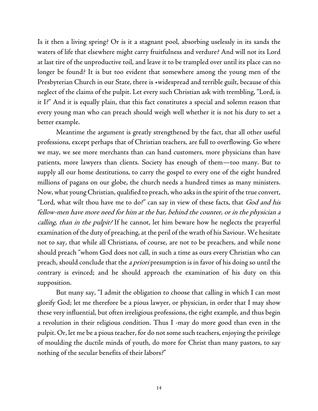Is it then a living spring? Or is it a stagnant pool, absorbing uselessly in its sands the waters of life that elsewhere might carry fruitfulness and verdure? And will not its Lord at last tire of the unproductive toil, and leave it to be trampled over until its place can no longer be found? It is but too evident that somewhere among the young men of the Presbyterian Church in our State, there is •widespread and terrible guilt, because of this neglect of the claims of the pulpit. Let every such Christian ask with trembling, "Lord, is it I?" And it is equally plain, that this fact constitutes a special and solemn reason that every young man who can preach should weigh well whether it is not his duty to set a better example.

Meantime the argument is greatly strengthened by the fact, that all other useful professions, except perhaps that of Christian teachers, are full to overflowing. Go where we may, we see more merchants than can hand customers, more physicians than have patients, more lawyers than clients. Society has enough of them—too many. But to supply all our home destitutions, to carry the gospel to every one of the eight hundred millions of pagans on our globe, the church needs a hundred times as many ministers. Now, what young Christian, qualified to preach, who asksin the spirit of the true convert, "Lord, what wilt thou have me to do?" can say in view of these facts, that God and his fellow-men have more need for him at the bar, behind the counter, or in the physician a calling, than in the pulpit? If he cannot, let him beware how he neglects the prayerful examination of the duty of preaching, at the peril of the wrath of his Saviour. We hesitate not to say, that while all Christians, of course, are not to be preachers, and while none should preach "whom God does not call, in such a time as ours every Christian who can preach, should conclude that the a priori presumption is in favor of his doing so until the contrary is evinced; and he should approach the examination of his duty on this supposition.

But many say, "I admit the obligation to choose that calling in which I can most glorify God; let me therefore be a pious lawyer, or physician, in order that I may show these very influential, but often irreligious professions, the right example, and thus begin a revolution in their religious condition. Thus I -may do more good than even in the pulpit. Or, let me be a pious teacher, for do not some such teachers, enjoying the privilege of moulding the ductile minds of youth, do more for Christ than many pastors, to say nothing of the secular benefits of their labors?"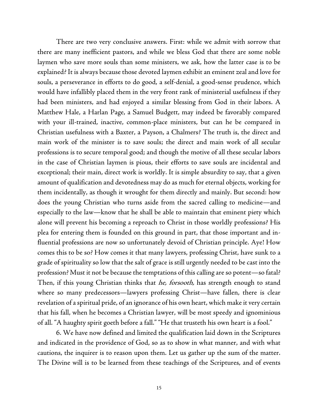There are two very conclusive answers. First: while we admit with sorrow that there are many inefficient pastors, and while we bless God that there are some noble laymen who save more souls than some ministers, we ask, how the latter case is to be explained? It is always because those devoted laymen exhibit an eminent zeal and love for souls, a perseverance in efforts to do good, a self-denial, a good-sense prudence, which would have infallibly placed them in the very front rank of ministerial usefulness if they had been ministers, and had enjoyed a similar blessing from God in their labors. A Matthew Hale, a Harlan Page, a Samuel Budgett, may indeed be favorably compared with your ill-trained, inactive, common-place ministers, but can he be compared in Christian usefulness with a Baxter, a Payson, a Chalmers? The truth is, the direct and main work of the minister is to save souls; the direct and main work of all secular professions is to secure temporal good; and though the motive of all these secular labors in the case of Christian laymen is pious, their efforts to save souls are incidental and exceptional; their main, direct work is worldly. It is simple absurdity to say, that a given amount of qualification and devotedness may do as much for eternal objects, working for them incidentally, as though it wrought for them directly and mainly. But second: how does the young Christian who turns aside from the sacred calling to medicine—and especially to the law—know that he shall be able to maintain that eminent piety which alone will prevent his becoming a reproach to Christ in those worldly professions? His plea for entering them is founded on this ground in part, that those important and influential professions are now so unfortunately devoid of Christian principle. Aye! How comes this to be so? How comes it that many lawyers, professing Christ, have sunk to a grade of spirituality so low that the salt of grace is still urgently needed to be cast into the profession? Must it not be because the temptations of this calling are so potent—so fatal? Then, if this young Christian thinks that *he, forsooth*, has strength enough to stand where so many predecessors—lawyers professing Christ—have fallen, there is clear revelation of a spiritual pride, of an ignorance of his own heart, which make it very certain that his fall, when he becomes a Christian lawyer, will be most speedy and ignominious of all. "A haughty spirit goeth before a fall." "He that trusteth his own heart is a fool."

6. We have now defined and limited the qualification laid down in the Scriptures and indicated in the providence of God, so as to show in what manner, and with what cautions, the inquirer is to reason upon them. Let us gather up the sum of the matter. The Divine will is to be learned from these teachings of the Scriptures, and of events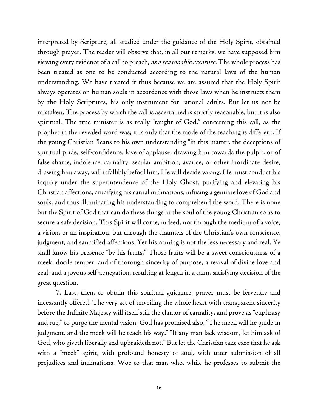interpreted by Scripture, all studied under the guidance of the Holy Spirit, obtained through prayer. The reader will observe that, in all our remarks, we have supposed him viewing every evidence of a call to preach, as a reasonable creature. The whole process has been treated as one to be conducted according to the natural laws of the human understanding. We have treated it thus because we are assured that the Holy Spirit always operates on human souls in accordance with those laws when he instructs them by the Holy Scriptures, his only instrument for rational adults. But let us not be mistaken. The process by which the call is ascertained is strictly reasonable, but it is also spiritual. The true minister is as really "taught of God," concerning this call, as the prophet in the revealed word was; it is only that the mode of the teaching is different. If the young Christian "leans to his own understanding "in this matter, the deceptions of spiritual pride, self-confidence, love of applause, drawing him towards the pulpit, or of false shame, indolence, carnality, secular ambition, avarice, or other inordinate desire, drawing him away, will infallibly befool him. He will decide wrong. He must conduct his inquiry under the superintendence of the Holy Ghost, purifying and elevating his Christian affections, crucifying his carnal inclinations, infusing a genuine love of God and souls, and thus illuminating his understanding to comprehend the word. There is none but the Spirit of God that can do these things in the soul of the young Christian so as to secure a safe decision. This Spirit will come, indeed, not through the medium of a voice, a vision, or an inspiration, but through the channels of the Christian's own conscience, judgment, and sanctified affections. Yet his coming is not the less necessary and real. Ye shall know his presence "by his fruits." Those fruits will be a sweet consciousness of a meek, docile temper, and of thorough sincerity of purpose, a revival of divine love and zeal, and a joyous self-abnegation, resulting at length in a calm, satisfying decision of the great question.

7. Last, then, to obtain this spiritual guidance, prayer must be fervently and incessantly offered. The very act of unveiling the whole heart with transparent sincerity before the Infinite Majesty will itself still the clamor of carnality, and prove as "euphrasy and rue," to purge the mental vision. God has promised also, "The meek will he guide in judgment, and the meek will he teach his way." "If any man lack wisdom, let him ask of God, who giveth liberally and upbraideth not." But let the Christian take care that he ask with a "meek" spirit, with profound honesty of soul, with utter submission of all prejudices and inclinations. Woe to that man who, while he professes to submit the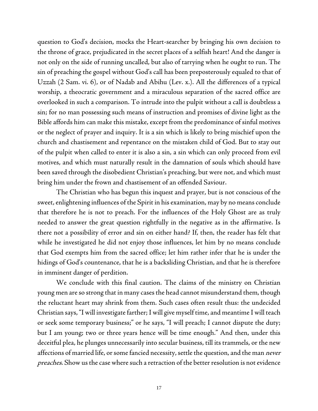question to God's decision, mocks the Heart-searcher by bringing his own decision to the throne of grace, prejudicated in the secret places of a selfish heart! And the danger is not only on the side of running uncalled, but also of tarrying when he ought to run. The sin of preaching the gospel without God's call has been preposterously equaled to that of Uzzah (2 Sam. vi. 6), or of Nadab and Abihu (Lev. x.). All the differences of a typical worship, a theocratic government and a miraculous separation of the sacred office are overlooked in such a comparison. To intrude into the pulpit without a call is doubtless a sin; for no man possessing such means of instruction and promises of divine light as the Bible affords him can make this mistake, except from the predominance of sinful motives or the neglect of prayer and inquiry. It is a sin which is likely to bring mischief upon the church and chastisement and repentance on the mistaken child of God. But to stay out of the pulpit when called to enter it is also a sin, a sin which can only proceed from evil motives, and which must naturally result in the damnation of souls which should have been saved through the disobedient Christian's preaching, but were not, and which must bring him under the frown and chastisement of an offended Saviour.

The Christian who has begun this inquest and prayer, but is not conscious of the sweet, enlightening influences of the Spirit in his examination, may by no means conclude that therefore he is not to preach. For the influences of the Holy Ghost are as truly needed to answer the great question rightfully in the negative as in the affirmative. Is there not a possibility of error and sin on either hand? If, then, the reader has felt that while he investigated he did not enjoy those influences, let him by no means conclude that God exempts him from the sacred office; let him rather infer that he is under the hidings of God's countenance, that he is a backsliding Christian, and that he is therefore in imminent danger of perdition.

We conclude with this final caution. The claims of the ministry on Christian young men are so strong that in many cases the head cannot misunderstand them, though the reluctant heart may shrink from them. Such cases often result thus: the undecided Christian says, "I will investigate farther; I will give myself time, and meantime I will teach or seek some temporary business;" or he says, "I will preach; I cannot dispute the duty; but I am young; two or three years hence will be time enough." And then, under this deceitful plea, he plunges unnecessarily into secular business, till its trammels, or the new affections of married life, or some fancied necessity, settle the question, and the man never preaches. Show us the case where such a retraction of the better resolution is not evidence